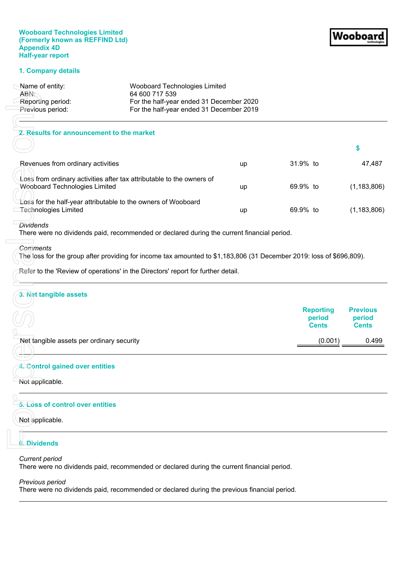## **Wooboard Technologies Limited (Formerly known as REFFIND Ltd) Appendix 4D Half-year report**

#### **1. Company details**

| Name of entity:   | Wooboard Technologies Limited            |
|-------------------|------------------------------------------|
| ABN:~             | 64 600 717 539                           |
| Reporting period: | For the half-year ended 31 December 2020 |
| Previous period:  | For the half-year ended 31 December 2019 |
|                   |                                          |

| Name of entity:<br>ABN:                   | Wooboard Technologies Limited<br>64 600 717 539                                                                      |    |                                            |                                           |
|-------------------------------------------|----------------------------------------------------------------------------------------------------------------------|----|--------------------------------------------|-------------------------------------------|
| Reporting period:                         | For the half-year ended 31 December 2020                                                                             |    |                                            |                                           |
| Previous period:                          | For the half-year ended 31 December 2019                                                                             |    |                                            |                                           |
| 2. Results for announcement to the market |                                                                                                                      |    |                                            |                                           |
|                                           |                                                                                                                      |    |                                            | \$                                        |
| Revenues from ordinary activities         |                                                                                                                      | up | 31.9% to                                   | 47,487                                    |
| <b>Wooboard Technologies Limited</b>      | Loss from ordinary activities after tax attributable to the owners of                                                | up | 69.9% to                                   | (1, 183, 806)                             |
| <b>Technologies Limited</b>               | Loss for the half-year attributable to the owners of Wooboard                                                        | up | 69.9% to                                   | (1, 183, 806)                             |
| <b>Dividends</b>                          | There were no dividends paid, recommended or declared during the current financial period.                           |    |                                            |                                           |
| <b>Comments</b>                           |                                                                                                                      |    |                                            |                                           |
|                                           | The loss for the group after providing for income tax amounted to \$1,183,806 (31 December 2019: loss of \$696,809). |    |                                            |                                           |
|                                           | Refer to the 'Review of operations' in the Directors' report for further detail.                                     |    |                                            |                                           |
| 3. Net tangible assets                    |                                                                                                                      |    |                                            |                                           |
|                                           |                                                                                                                      |    | <b>Reporting</b><br>period<br><b>Cents</b> | <b>Previous</b><br>period<br><b>Cents</b> |
| Net tangible assets per ordinary security |                                                                                                                      |    | (0.001)                                    | 0.499                                     |
|                                           |                                                                                                                      |    |                                            |                                           |
| 4. Control gained over entities           |                                                                                                                      |    |                                            |                                           |
| Not applicable.                           |                                                                                                                      |    |                                            |                                           |
| 5. Loss of control over entities          |                                                                                                                      |    |                                            |                                           |
| Not applicable.                           |                                                                                                                      |    |                                            |                                           |
| <b>6. Dividends</b>                       |                                                                                                                      |    |                                            |                                           |
| <b>Current period</b>                     |                                                                                                                      |    |                                            |                                           |
|                                           | There were no dividends paid, recommended or declared during the current financial period.                           |    |                                            |                                           |
| Previous period                           |                                                                                                                      |    |                                            |                                           |
|                                           | There were no dividends paid, recommended or declared during the previous financial period.                          |    |                                            |                                           |

#### *Dividends*

#### *Comments*

## **3. Net tangible assets**

| リビ                                        | <b>Reporting</b><br>period<br><b>Cents</b> | <b>Previous</b><br>period<br><b>Cents</b> |
|-------------------------------------------|--------------------------------------------|-------------------------------------------|
| Net tangible assets per ordinary security | (0.001)                                    | 0.499                                     |

## **4. Control gained over entities**

# **5. Loss of control over entities**

## **6. Dividends**

## *Previous period*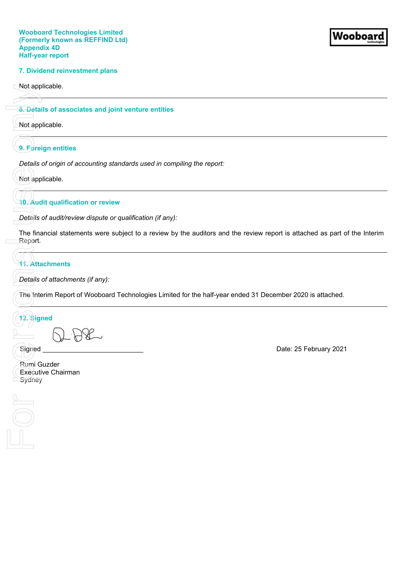## **7. Dividend reinvestment plans**

Not applicable.

## **8. Details of associates and joint venture entities**

Not applicable.

## **9. Foreign entities**

*Details of origin of accounting standards used in compiling the report:*

Not applicable.

# **10. Audit qualification or review**

*Details of audit/review dispute or qualification (if any):*

The financial statements were subject to a review by the auditors and the review report is attached as part of the Interim Report.

# **11. Attachments**

*Details of attachments (if any):*

The Interim Report of Wooboard Technologies Limited for the half-year ended 31 December 2020 is attached.

# **12. Signed**

Rumi Guzder Executive Chairman Sydney

Not app<br>
8. Details<br>
9. Forei<br>
Details<br>
The fina<br>
Report.<br>
The Inte<br>
The Inte<br>
The Inte<br>
The Inte<br>
The Inte<br>
The Inte<br>
Signed<br>
Rumi G<br>
Executi FOL

Signed **Signed Signed Example 2021**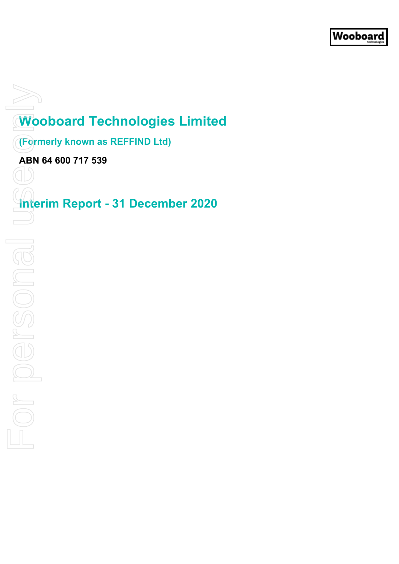# **Wooboard Technologies Limited**

**(Formerly known as REFFIND Ltd)**

**ABN 64 600 717 539**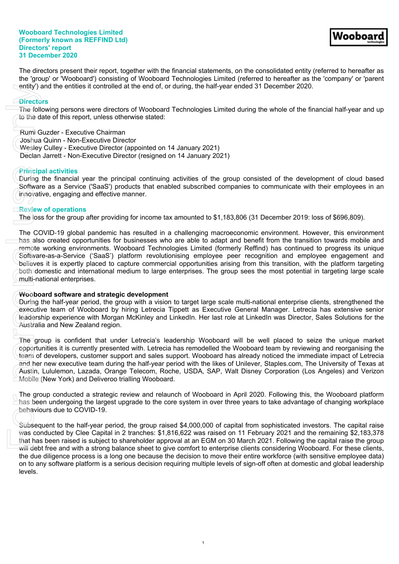#### **Wooboard Technologies Limited (Formerly known as REFFIND Ltd) Directors' report 31 December 2020**

The directors present their report, together with the financial statements, on the consolidated entity (referred to hereafter as the 'group' or 'Wooboard') consisting of Wooboard Technologies Limited (referred to hereafter as the 'company' or 'parent entity') and the entities it controlled at the end of, or during, the half-year ended 31 December 2020.

## **Directors**

The following persons were directors of Wooboard Technologies Limited during the whole of the financial half-year and up to the date of this report, unless otherwise stated:

Rumi Guzder - Executive Chairman

Joshua Quinn - Non-Executive Director

Wesley Culley - Executive Director (appointed on 14 January 2021)

Declan Jarrett - Non-Executive Director (resigned on 14 January 2021)

## **Principal activities**

During the financial year the principal continuing activities of the group consisted of the development of cloud based Software as a Service ('SaaS') products that enabled subscribed companies to communicate with their employees in an innovative, engaging and effective manner.

## **Review of operations**

The loss for the group after providing for income tax amounted to \$1,183,806 (31 December 2019: loss of \$696,809).

The COVID‐19 global pandemic has resulted in a challenging macroeconomic environment. However, this environment has also created opportunities for businesses who are able to adapt and benefit from the transition towards mobile and remote working environments. Wooboard Technologies Limited (formerly Reffind) has continued to progress its unique Software-as-a-Service ('SaaS') platform revolutionising employee peer recognition and employee engagement and believes it is expertly placed to capture commercial opportunities arising from this transition, with the platform targeting both domestic and international medium to large enterprises. The group sees the most potential in targeting large scale multi-national enterprises. entity') a Directo The foll to the d<br>
Rumi C Joshua<br>
Wesley Declan<br>
Princip During Softwar<br>
innovati Review<br>
The CC has also remote<br>
Softwar innovati<br>
For personal use of the during executive determined and her dustrial<br>
T

## **Wooboard software and strategic development**

During the half-year period, the group with a vision to target large scale multi-national enterprise clients, strengthened the executive team of Wooboard by hiring Letrecia Tippett as Executive General Manager. Letrecia has extensive senior leadership experience with Morgan McKinley and LinkedIn. Her last role at LinkedIn was Director, Sales Solutions for the Australia and New Zealand region.

The group is confident that under Letrecia's leadership Wooboard will be well placed to seize the unique market opportunities it is currently presented with. Letrecia has remodelled the Wooboard team by reviewing and reorganising the team of developers, customer support and sales support. Wooboard has already noticed the immediate impact of Letrecia and her new executive team during the half-year period with the likes of Unilever, Staples.com, The University of Texas at Austin, Lululemon, Lazada, Orange Telecom, Roche, USDA, SAP, Walt Disney Corporation (Los Angeles) and Verizon Mobile (New York) and Deliveroo trialling Wooboard.

The group conducted a strategic review and relaunch of Wooboard in April 2020. Following this, the Wooboard platform has been undergoing the largest upgrade to the core system in over three years to take advantage of changing workplace behaviours due to COVID-19.

Subsequent to the half-year period, the group raised \$4,000,000 of capital from sophisticated investors. The capital raise was conducted by Clee Capital in 2 tranches: \$1,816,622 was raised on 11 February 2021 and the remaining \$2,183,378 that has been raised is subject to shareholder approval at an EGM on 30 March 2021. Following the capital raise the group will debt free and with a strong balance sheet to give comfort to enterprise clients considering Wooboard. For these clients, the due diligence process is a long one because the decision to move their entire workforce (with sensitive employee data) on to any software platform is a serious decision requiring multiple levels of sign-off often at domestic and global leadership levels.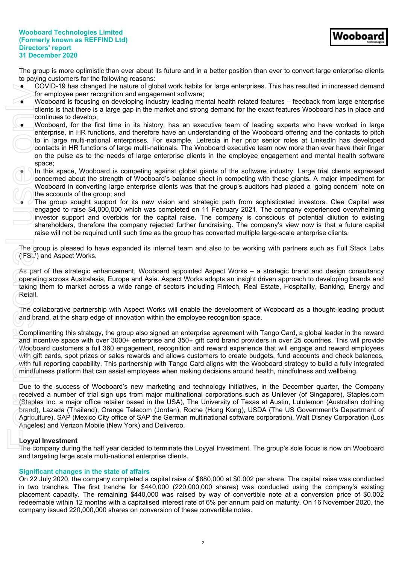Wooboaı

The group is more optimistic than ever about its future and in a better position than ever to convert large enterprise clients to paying customers for the following reasons:

- COVID-19 has changed the nature of global work habits for large enterprises. This has resulted in increased demand for employee peer recognition and engagement software;
- Wooboard is focusing on developing industry leading mental health related features feedback from large enterprise clients is that there is a large gap in the market and strong demand for the exact features Wooboard has in place and continues to develop;
- Wooboard, for the first time in its history, has an executive team of leading experts who have worked in large enterprise, in HR functions, and therefore have an understanding of the Wooboard offering and the contacts to pitch to in large multi-national enterprises. For example, Letrecia in her prior senior roles at LinkedIn has developed contacts in HR functions of large multi-nationals. The Wooboard executive team now more than ever have their finger on the pulse as to the needs of large enterprise clients in the employee engagement and mental health software space;
- In this space, Wooboard is competing against global giants of the software industry. Large trial clients expressed concerned about the strength of Wooboard's balance sheet in competing with these giants. A major impediment for Wooboard in converting large enterprise clients was that the group's auditors had placed a 'going concern' note on the accounts of the group; and
- The group sought support for its new vision and strategic path from sophisticated investors. Clee Capital was engaged to raise \$4,000,000 which was completed on 11 February 2021. The company experienced overwhelming investor support and overbids for the capital raise. The company is conscious of potential dilution to existing shareholders, therefore the company rejected further fundraising. The company's view now is that a future capital raise will not be required until such time as the group has converted multiple large-scale enterprise clients.

The group is pleased to have expanded its internal team and also to be working with partners such as Full Stack Labs ('FSL') and Aspect Works.

As part of the strategic enhancement, Wooboard appointed Aspect Works – a strategic brand and design consultancy operating across Australasia, Europe and Asia. Aspect Works adopts an insight driven approach to developing brands and taking them to market across a wide range of sectors including Fintech, Real Estate, Hospitality, Banking, Energy and Retail.

The collaborative partnership with Aspect Works will enable the development of Wooboard as a thought-leading product and brand, at the sharp edge of innovation within the employee recognition space.

Complimenting this strategy, the group also signed an enterprise agreement with Tango Card, a global leader in the reward and incentive space with over 3000+ enterprise and 350+ gift card brand providers in over 25 countries. This will provide Wooboard customers a full 360 engagement, recognition and reward experience that will engage and reward employees with gift cards, spot prizes or sales rewards and allows customers to create budgets, fund accounts and check balances, with full reporting capability. This partnership with Tango Card aligns with the Wooboard strategy to build a fully integrated mindfulness platform that can assist employees when making decisions around health, mindfulness and wellbeing. CoVID-19 has cannot be the most and the state of these comparisons of the conversion of the convertible notes. The conversion of the convertible notes on the control of the control of the most of the most of the most only

Due to the success of Wooboard's new marketing and technology initiatives, in the December quarter, the Company received a number of trial sign ups from major multinational corporations such as Unilever (of Singapore), Staples.com (Staples Inc. a major office retailer based in the USA), The University of Texas at Austin, Lululemon (Australian clothing brand), Lazada (Thailand), Orange Telecom (Jordan), Roche (Hong Kong), USDA (The US Government's Department of Agriculture), SAP (Mexico City office of SAP the German multinational software corporation), Walt Disney Corporation (Los Angeles) and Verizon Mobile (New York) and Deliveroo.

## **Loyyal Investment**

The company during the half year decided to terminate the Loyyal Investment. The group's sole focus is now on Wooboard and targeting large scale multi-national enterprise clients.

## **Significant changes in the state of affairs**

On 22 July 2020, the company completed a capital raise of \$880,000 at \$0.002 per share. The capital raise was conducted in two tranches. The first tranche for \$440,000 (220,000,000 shares) was conducted using the company's existing placement capacity. The remaining \$440,000 was raised by way of convertible note at a conversion price of \$0.002 redeemable within 12 months with a capitalised interest rate of 6% per annum paid on maturity. On 16 November 2020, the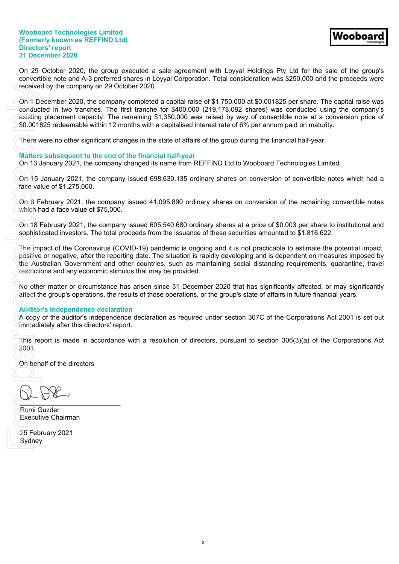#### **Wooboard Technologies Limited (Formerly known as REFFIND Ltd) Directors' report 31 December 2020**

On 29 October 2020, the group executed a sale agreement with Loyyal Holdings Pty Ltd for the sale of the group's convertible note and A-3 preferred shares in Loyyal Corporation. Total consideration was \$250,000 and the proceeds were received by the company on 29 October 2020.

On 1 December 2020, the company completed a capital raise of \$1,750,000 at \$0.001825 per share. The capital raise was conducted in two tranches. The first tranche for \$400,000 (219,178,082 shares) was conducted using the company's existing placement capacity. The remaining \$1,350,000 was raised by way of convertible note at a conversion price of \$0.001825 redeemable within 12 months with a capitalised interest rate of 6% per annum paid on maturity. received<br>
On 1 De conduct<br>
existing<br>
\$0.0018<br>
There w<br>
Matters<br>
On 13 J<br>
There w<br>
Matters<br>
On 13 J<br>
The which h<br>
On 18 F<br>
which h<br>
On 18 F<br>
which h<br>
On 18 F<br>
sophistic<br>
The impositive<br>
the Auslie restriction<br>
The impositiv

There were no other significant changes in the state of affairs of the group during the financial half-year.

## **Matters subsequent to the end of the financial half-year**

On 13 January 2021, the company changed its name from REFFIND Ltd to Wooboard Technologies Limited.

On 15 January 2021, the company issued 698,630,135 ordinary shares on conversion of convertible notes which had a face value of \$1,275,000.

On 8 February 2021, the company issued 41,095,890 ordinary shares on conversion of the remaining convertible notes which had a face value of \$75,000.

On 18 February 2021, the company issued 605,540,680 ordinary shares at a price of \$0.003 per share to institutional and sophisticated investors. The total proceeds from the issuance of these securities amounted to \$1,816,622.

The impact of the Coronavirus (COVID-19) pandemic is ongoing and it is not practicable to estimate the potential impact, positive or negative, after the reporting date. The situation is rapidly developing and is dependent on measures imposed by the Australian Government and other countries, such as maintaining social distancing requirements, quarantine, travel restrictions and any economic stimulus that may be provided.

No other matter or circumstance has arisen since 31 December 2020 that has significantly affected, or may significantly affect the group's operations, the results of those operations, or the group's state of affairs in future financial years.

## **Auditor's independence declaration**

A copy of the auditor's independence declaration as required under section 307C of the Corporations Act 2001 is set out immediately after this directors' report.

This report is made in accordance with a resolution of directors, pursuant to section 306(3)(a) of the Corporations Act 2001.

On behalf of the directors

 $\frac{1}{2}$ 

Rumi Guzder Executive Chairman

25 February 2021 Sydney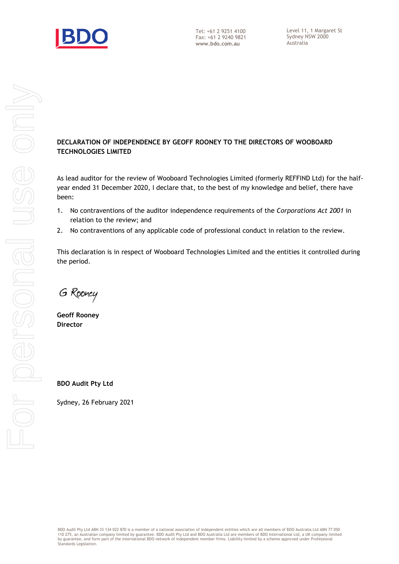

# **DECLARATION OF INDEPENDENCE BY GEOFF ROONEY TO THE DIRECTORS OF WOOBOARD TECHNOLOGIES LIMITED**

As lead auditor for the review of Wooboard Technologies Limited (formerly REFFIND Ltd) for the halfyear ended 31 December 2020, I declare that, to the best of my knowledge and belief, there have been:

- 1. No contraventions of the auditor independence requirements of the *Corporations Act 2001* in relation to the review; and
- 2. No contraventions of any applicable code of professional conduct in relation to the review.

This declaration is in respect of Wooboard Technologies Limited and the entities it controlled during the period.

G Rooney

**Geoff Rooney Director**

**BDO Audit Pty Ltd**

Sydney, 26 February 2021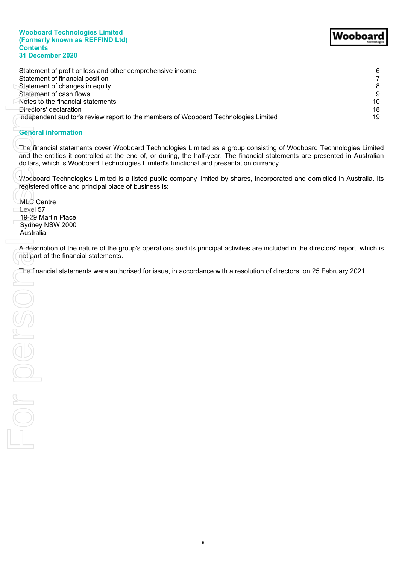#### **Wooboard Technologies Limited (Formerly known as REFFIND Ltd) Contents 31 December 2020**

# Wooboard

| Statement of profit or loss and other comprehensive income<br>Statement of financial position                                                                                                                                                                                                                                                  | 6<br>$\overline{7}$ |
|------------------------------------------------------------------------------------------------------------------------------------------------------------------------------------------------------------------------------------------------------------------------------------------------------------------------------------------------|---------------------|
| Statement of changes in equity                                                                                                                                                                                                                                                                                                                 | $\bf 8$             |
| Statement of cash flows                                                                                                                                                                                                                                                                                                                        | 9                   |
| Notes to the financial statements                                                                                                                                                                                                                                                                                                              | 10 <sup>°</sup>     |
| Directors' declaration                                                                                                                                                                                                                                                                                                                         | 18                  |
| Independent auditor's review report to the members of Wooboard Technologies Limited                                                                                                                                                                                                                                                            | 19                  |
| <b>General information</b>                                                                                                                                                                                                                                                                                                                     |                     |
| The financial statements cover Wooboard Technologies Limited as a group consisting of Wooboard Technologies Limited<br>and the entities it controlled at the end of, or during, the half-year. The financial statements are presented in Australian<br>dollars, which is Wooboard Technologies Limited's functional and presentation currency. |                     |
| Wooboard Technologies Limited is a listed public company limited by shares, incorporated and domiciled in Australia. Its<br>registered office and principal place of business is:                                                                                                                                                              |                     |
| MLC Centre                                                                                                                                                                                                                                                                                                                                     |                     |
| Level 57<br>19-29 Martin Place                                                                                                                                                                                                                                                                                                                 |                     |
| Sydney NSW 2000                                                                                                                                                                                                                                                                                                                                |                     |
| Australia                                                                                                                                                                                                                                                                                                                                      |                     |
| not part of the financial statements.<br>The financial statements were authorised for issue, in accordance with a resolution of directors, on 25 February 2021.                                                                                                                                                                                |                     |
|                                                                                                                                                                                                                                                                                                                                                |                     |
| OSUE                                                                                                                                                                                                                                                                                                                                           |                     |
|                                                                                                                                                                                                                                                                                                                                                |                     |
|                                                                                                                                                                                                                                                                                                                                                |                     |
|                                                                                                                                                                                                                                                                                                                                                |                     |
| $\sim$                                                                                                                                                                                                                                                                                                                                         |                     |
|                                                                                                                                                                                                                                                                                                                                                |                     |
|                                                                                                                                                                                                                                                                                                                                                |                     |
|                                                                                                                                                                                                                                                                                                                                                |                     |
|                                                                                                                                                                                                                                                                                                                                                |                     |

# **General information**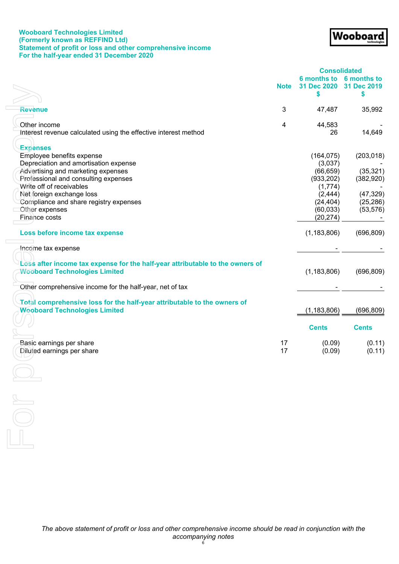## **Wooboard Technologies Limited (Formerly known as REFFIND Ltd) Statement of profit or loss and other comprehensive income For the half-year ended 31 December 2020**

<span id="page-8-0"></span>

|                                                                                                                                                                                                                                                                        |                |                                                                                      | <b>Consolidated</b>                                             |
|------------------------------------------------------------------------------------------------------------------------------------------------------------------------------------------------------------------------------------------------------------------------|----------------|--------------------------------------------------------------------------------------|-----------------------------------------------------------------|
|                                                                                                                                                                                                                                                                        | <b>Note</b>    | 31 Dec 2020                                                                          | 6 months to 6 months to<br>31 Dec 2019                          |
|                                                                                                                                                                                                                                                                        |                | \$                                                                                   | \$                                                              |
| Revenue                                                                                                                                                                                                                                                                | 3              | 47,487                                                                               | 35,992                                                          |
| Other income<br>Interest revenue calculated using the effective interest method                                                                                                                                                                                        | $\overline{4}$ | 44,583<br>26                                                                         | 14,649                                                          |
| <b>Expenses</b><br>Employee benefits expense<br>Depreciation and amortisation expense<br>Advertising and marketing expenses<br>Professional and consulting expenses<br>Write off of receivables<br>Net foreign exchange loss<br>Compliance and share registry expenses |                | (164, 075)<br>(3,037)<br>(66, 659)<br>(933, 202)<br>(1,774)<br>(2, 444)<br>(24, 404) | (203, 018)<br>(35, 321)<br>(382, 920)<br>(47, 329)<br>(25, 286) |
| Other expenses<br>Finance costs                                                                                                                                                                                                                                        |                | (60, 033)<br>(20, 274)                                                               | (53, 576)                                                       |
| Loss before income tax expense                                                                                                                                                                                                                                         |                | (1, 183, 806)                                                                        | (696, 809)                                                      |
| Income tax expense                                                                                                                                                                                                                                                     |                |                                                                                      |                                                                 |
| Loss after income tax expense for the half-year attributable to the owners of<br><b>Wooboard Technologies Limited</b>                                                                                                                                                  |                | (1, 183, 806)                                                                        | (696, 809)                                                      |
| Other comprehensive income for the half-year, net of tax                                                                                                                                                                                                               |                |                                                                                      |                                                                 |
| Total comprehensive loss for the half-year attributable to the owners of<br><b>Wooboard Technologies Limited</b>                                                                                                                                                       |                | (1, 183, 806)                                                                        | (696, 809)                                                      |
|                                                                                                                                                                                                                                                                        |                | <b>Cents</b>                                                                         | <b>Cents</b>                                                    |
| Basic earnings per share<br>Diluted earnings per share                                                                                                                                                                                                                 | 17<br>17       | (0.09)<br>(0.09)                                                                     | (0.11)<br>(0.11)                                                |
|                                                                                                                                                                                                                                                                        |                |                                                                                      |                                                                 |
| $\sim$                                                                                                                                                                                                                                                                 |                |                                                                                      |                                                                 |
|                                                                                                                                                                                                                                                                        |                |                                                                                      |                                                                 |
|                                                                                                                                                                                                                                                                        |                |                                                                                      |                                                                 |

Wooboard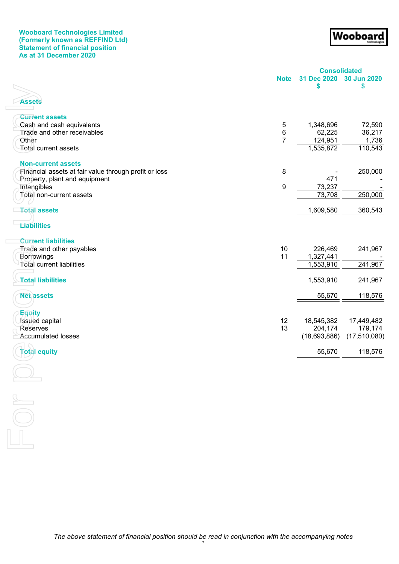## **Wooboard Technologies Limited (Formerly known as REFFIND Ltd) Statement of financial position As at 31 December 2020**

Wooboard

<span id="page-9-0"></span>

|                                                       |                | <b>Consolidated</b> |                |
|-------------------------------------------------------|----------------|---------------------|----------------|
|                                                       | <b>Note</b>    | 31 Dec 2020         | 30 Jun 2020    |
|                                                       |                | \$                  | \$             |
|                                                       |                |                     |                |
| <b>Assets</b>                                         |                |                     |                |
| <b>Current assets</b>                                 |                |                     |                |
| Cash and cash equivalents                             | 5              | 1,348,696           | 72,590         |
| Trade and other receivables                           | 6              | 62,225              | 36,217         |
| Other                                                 | $\overline{7}$ | 124,951             | 1,736          |
| Total current assets                                  |                | 1,535,872           | 110,543        |
|                                                       |                |                     |                |
| <b>Non-current assets</b>                             |                |                     |                |
| Financial assets at fair value through profit or loss | $\bf 8$        |                     | 250,000        |
| Property, plant and equipment                         |                | 471                 |                |
| Intangibles                                           | 9              | 73,237              |                |
| Total non-current assets                              |                | 73,708              | 250,000        |
|                                                       |                |                     |                |
| <b>Total assets</b>                                   |                | 1,609,580           | 360,543        |
|                                                       |                |                     |                |
| <b>Liabilities</b>                                    |                |                     |                |
| <b>Current liabilities</b>                            |                |                     |                |
| Trade and other payables                              | 10             | 226,469             | 241,967        |
| Borrowings                                            | 11             | 1,327,441           |                |
| <b>Total current liabilities</b>                      |                | 1,553,910           | 241,967        |
|                                                       |                |                     |                |
| <b>Total liabilities</b>                              |                | 1,553,910           | 241,967        |
| <b>Net assets</b>                                     |                | 55,670              | 118,576        |
|                                                       |                |                     |                |
| <b>Equity</b>                                         |                |                     |                |
| Issued capital                                        | 12             | 18,545,382          | 17,449,482     |
| <b>Reserves</b>                                       | 13             | 204,174             | 179,174        |
| <b>Accumulated losses</b>                             |                | (18, 693, 886)      | (17, 510, 080) |
|                                                       |                |                     |                |
| <b>Total equity</b>                                   |                | 55,670              | 118,576        |
|                                                       |                |                     |                |
|                                                       |                |                     |                |
|                                                       |                |                     |                |
|                                                       |                |                     |                |
| $\sum$                                                |                |                     |                |
|                                                       |                |                     |                |
|                                                       |                |                     |                |
|                                                       |                |                     |                |
|                                                       |                |                     |                |
|                                                       |                |                     |                |

*The above statement of financial position should be read in conjunction with the accompanying notes* 7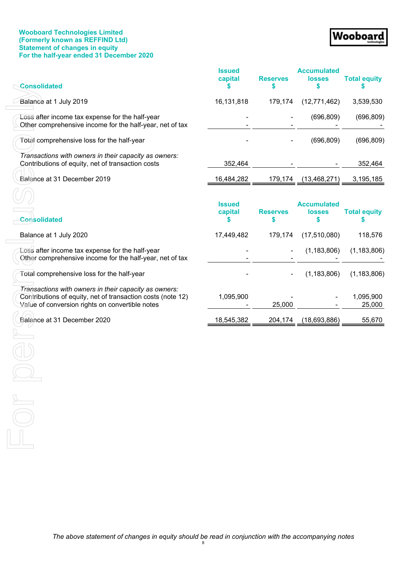## **Wooboard Technologies Limited (Formerly known as REFFIND Ltd) Statement of changes in equity For the half-year ended 31 December 2020**

# Wooboard

<span id="page-10-0"></span>

| <b>Consolidated</b>                                                                                                                                                     | <b>Issued</b><br>capital       | <b>Reserves</b><br>\$ | <b>Accumulated</b><br><b>losses</b><br>\$ | <b>Total equity</b> |
|-------------------------------------------------------------------------------------------------------------------------------------------------------------------------|--------------------------------|-----------------------|-------------------------------------------|---------------------|
| Balance at 1 July 2019                                                                                                                                                  | 16,131,818                     | 179,174               | (12, 771, 462)                            | 3,539,530           |
| Loss after income tax expense for the half-year<br>Other comprehensive income for the half-year, net of tax                                                             |                                |                       | (696, 809)                                | (696, 809)          |
| Total comprehensive loss for the half-year                                                                                                                              |                                |                       | (696, 809)                                | (696, 809)          |
| Transactions with owners in their capacity as owners:<br>Contributions of equity, net of transaction costs                                                              | 352,464                        |                       |                                           | 352,464             |
| Balance at 31 December 2019                                                                                                                                             | 16,484,282                     | 179,174               | (13, 468, 271)                            | 3,195,185           |
| <b>Consolidated</b>                                                                                                                                                     | <b>Issued</b><br>capital<br>\$ | <b>Reserves</b><br>\$ | <b>Accumulated</b><br><b>losses</b><br>\$ | <b>Total equity</b> |
| Balance at 1 July 2020                                                                                                                                                  | 17,449,482                     | 179,174               | (17,510,080)                              | 118,576             |
| Loss after income tax expense for the half-year<br>Other comprehensive income for the half-year, net of tax                                                             |                                |                       | (1, 183, 806)                             | (1, 183, 806)       |
| Total comprehensive loss for the half-year                                                                                                                              |                                |                       | (1, 183, 806)                             | (1, 183, 806)       |
| Transactions with owners in their capacity as owners:<br>Contributions of equity, net of transaction costs (note 12)<br>Value of conversion rights on convertible notes | 1,095,900                      | 25,000                |                                           | 1,095,900<br>25,000 |
| Balance at 31 December 2020                                                                                                                                             | 18,545,382                     | 204,174               | (18,693,886)                              | 55,670              |
|                                                                                                                                                                         |                                |                       |                                           |                     |

8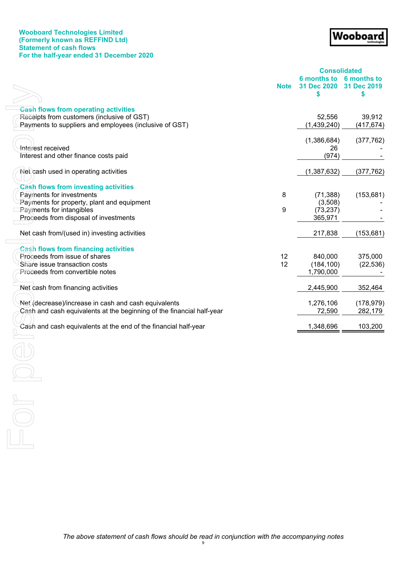## **Wooboard Technologies Limited (Formerly known as REFFIND Ltd) Statement of cash flows For the half-year ended 31 December 2020**

# Wooboard

<span id="page-11-0"></span>

| <b>6 months to</b><br>31 Dec 2020<br><b>Note</b><br>\$<br>\$<br><b>Cash flows from operating activities</b><br>Receipts from customers (inclusive of GST)<br>52,556<br>Payments to suppliers and employees (inclusive of GST)<br>(1,439,240)<br>(1,386,684)<br>Interest received<br>26<br>(974)<br>Interest and other finance costs paid<br>Net cash used in operating activities<br>(1,387,632)<br><b>Cash flows from investing activities</b><br>Payments for investments<br>(153, 681)<br>8<br>(71, 388)<br>Payments for property, plant and equipment<br>(3,508)<br>Payments for intangibles<br>9<br>(73, 237)<br>Proceeds from disposal of investments<br>365,971<br>Net cash from/(used in) investing activities<br>217,838<br><b>Cash flows from financing activities</b><br>12<br>Proceeds from issue of shares<br>840,000<br>12<br>Share issue transaction costs<br>(184, 100)<br>1,790,000<br>Proceeds from convertible notes<br>Net cash from financing activities<br>2,445,900<br>Net (decrease)/increase in cash and cash equivalents<br>1,276,106 |                                                                       | <b>Consolidated</b> |             |
|-----------------------------------------------------------------------------------------------------------------------------------------------------------------------------------------------------------------------------------------------------------------------------------------------------------------------------------------------------------------------------------------------------------------------------------------------------------------------------------------------------------------------------------------------------------------------------------------------------------------------------------------------------------------------------------------------------------------------------------------------------------------------------------------------------------------------------------------------------------------------------------------------------------------------------------------------------------------------------------------------------------------------------------------------------------------|-----------------------------------------------------------------------|---------------------|-------------|
|                                                                                                                                                                                                                                                                                                                                                                                                                                                                                                                                                                                                                                                                                                                                                                                                                                                                                                                                                                                                                                                                 |                                                                       |                     | 6 months to |
|                                                                                                                                                                                                                                                                                                                                                                                                                                                                                                                                                                                                                                                                                                                                                                                                                                                                                                                                                                                                                                                                 |                                                                       |                     | 31 Dec 2019 |
|                                                                                                                                                                                                                                                                                                                                                                                                                                                                                                                                                                                                                                                                                                                                                                                                                                                                                                                                                                                                                                                                 |                                                                       |                     |             |
|                                                                                                                                                                                                                                                                                                                                                                                                                                                                                                                                                                                                                                                                                                                                                                                                                                                                                                                                                                                                                                                                 |                                                                       |                     |             |
|                                                                                                                                                                                                                                                                                                                                                                                                                                                                                                                                                                                                                                                                                                                                                                                                                                                                                                                                                                                                                                                                 |                                                                       |                     | 39,912      |
|                                                                                                                                                                                                                                                                                                                                                                                                                                                                                                                                                                                                                                                                                                                                                                                                                                                                                                                                                                                                                                                                 |                                                                       |                     | (417, 674)  |
|                                                                                                                                                                                                                                                                                                                                                                                                                                                                                                                                                                                                                                                                                                                                                                                                                                                                                                                                                                                                                                                                 |                                                                       |                     | (377, 762)  |
|                                                                                                                                                                                                                                                                                                                                                                                                                                                                                                                                                                                                                                                                                                                                                                                                                                                                                                                                                                                                                                                                 |                                                                       |                     |             |
|                                                                                                                                                                                                                                                                                                                                                                                                                                                                                                                                                                                                                                                                                                                                                                                                                                                                                                                                                                                                                                                                 |                                                                       |                     |             |
|                                                                                                                                                                                                                                                                                                                                                                                                                                                                                                                                                                                                                                                                                                                                                                                                                                                                                                                                                                                                                                                                 |                                                                       |                     | (377, 762)  |
|                                                                                                                                                                                                                                                                                                                                                                                                                                                                                                                                                                                                                                                                                                                                                                                                                                                                                                                                                                                                                                                                 |                                                                       |                     |             |
|                                                                                                                                                                                                                                                                                                                                                                                                                                                                                                                                                                                                                                                                                                                                                                                                                                                                                                                                                                                                                                                                 |                                                                       |                     |             |
|                                                                                                                                                                                                                                                                                                                                                                                                                                                                                                                                                                                                                                                                                                                                                                                                                                                                                                                                                                                                                                                                 |                                                                       |                     |             |
|                                                                                                                                                                                                                                                                                                                                                                                                                                                                                                                                                                                                                                                                                                                                                                                                                                                                                                                                                                                                                                                                 |                                                                       |                     |             |
|                                                                                                                                                                                                                                                                                                                                                                                                                                                                                                                                                                                                                                                                                                                                                                                                                                                                                                                                                                                                                                                                 |                                                                       |                     |             |
|                                                                                                                                                                                                                                                                                                                                                                                                                                                                                                                                                                                                                                                                                                                                                                                                                                                                                                                                                                                                                                                                 |                                                                       |                     | (153, 681)  |
|                                                                                                                                                                                                                                                                                                                                                                                                                                                                                                                                                                                                                                                                                                                                                                                                                                                                                                                                                                                                                                                                 |                                                                       |                     |             |
|                                                                                                                                                                                                                                                                                                                                                                                                                                                                                                                                                                                                                                                                                                                                                                                                                                                                                                                                                                                                                                                                 |                                                                       |                     | 375,000     |
|                                                                                                                                                                                                                                                                                                                                                                                                                                                                                                                                                                                                                                                                                                                                                                                                                                                                                                                                                                                                                                                                 |                                                                       |                     | (22, 536)   |
|                                                                                                                                                                                                                                                                                                                                                                                                                                                                                                                                                                                                                                                                                                                                                                                                                                                                                                                                                                                                                                                                 |                                                                       |                     |             |
|                                                                                                                                                                                                                                                                                                                                                                                                                                                                                                                                                                                                                                                                                                                                                                                                                                                                                                                                                                                                                                                                 |                                                                       |                     |             |
|                                                                                                                                                                                                                                                                                                                                                                                                                                                                                                                                                                                                                                                                                                                                                                                                                                                                                                                                                                                                                                                                 |                                                                       |                     | 352,464     |
|                                                                                                                                                                                                                                                                                                                                                                                                                                                                                                                                                                                                                                                                                                                                                                                                                                                                                                                                                                                                                                                                 |                                                                       |                     | (178, 979)  |
|                                                                                                                                                                                                                                                                                                                                                                                                                                                                                                                                                                                                                                                                                                                                                                                                                                                                                                                                                                                                                                                                 | Cash and cash equivalents at the beginning of the financial half-year | 72,590              | 282,179     |
| Cash and cash equivalents at the end of the financial half-year<br>1,348,696                                                                                                                                                                                                                                                                                                                                                                                                                                                                                                                                                                                                                                                                                                                                                                                                                                                                                                                                                                                    |                                                                       |                     | 103,200     |
|                                                                                                                                                                                                                                                                                                                                                                                                                                                                                                                                                                                                                                                                                                                                                                                                                                                                                                                                                                                                                                                                 |                                                                       |                     |             |
|                                                                                                                                                                                                                                                                                                                                                                                                                                                                                                                                                                                                                                                                                                                                                                                                                                                                                                                                                                                                                                                                 |                                                                       |                     |             |
|                                                                                                                                                                                                                                                                                                                                                                                                                                                                                                                                                                                                                                                                                                                                                                                                                                                                                                                                                                                                                                                                 |                                                                       |                     |             |
|                                                                                                                                                                                                                                                                                                                                                                                                                                                                                                                                                                                                                                                                                                                                                                                                                                                                                                                                                                                                                                                                 |                                                                       |                     |             |
|                                                                                                                                                                                                                                                                                                                                                                                                                                                                                                                                                                                                                                                                                                                                                                                                                                                                                                                                                                                                                                                                 |                                                                       |                     |             |
|                                                                                                                                                                                                                                                                                                                                                                                                                                                                                                                                                                                                                                                                                                                                                                                                                                                                                                                                                                                                                                                                 |                                                                       |                     |             |
|                                                                                                                                                                                                                                                                                                                                                                                                                                                                                                                                                                                                                                                                                                                                                                                                                                                                                                                                                                                                                                                                 |                                                                       |                     |             |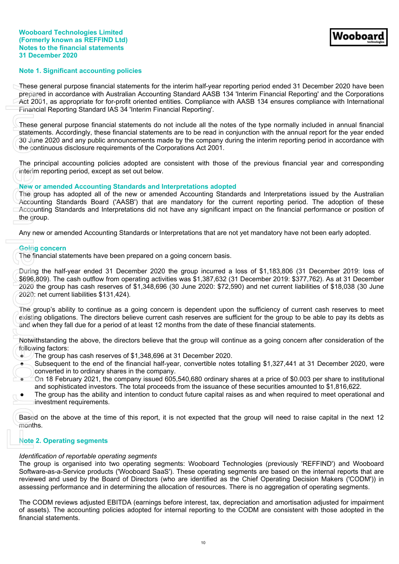### <span id="page-12-0"></span>**Note 1. Significant accounting policies**

These general purpose financial statements for the interim half-year reporting period ended 31 December 2020 have been prepared in accordance with Australian Accounting Standard AASB 134 'Interim Financial Reporting' and the Corporations Act 2001, as appropriate for for-profit oriented entities. Compliance with AASB 134 ensures compliance with International Financial Reporting Standard IAS 34 'Interim Financial Reporting'.

These general purpose financial statements do not include all the notes of the type normally included in annual financial statements. Accordingly, these financial statements are to be read in conjunction with the annual report for the year ended 30 June 2020 and any public announcements made by the company during the interim reporting period in accordance with the continuous disclosure requirements of the Corporations Act 2001.

The principal accounting policies adopted are consistent with those of the previous financial year and corresponding interim reporting period, except as set out below.

#### **New or amended Accounting Standards and Interpretations adopted**

The group has adopted all of the new or amended Accounting Standards and Interpretations issued by the Australian Accounting Standards Board ('AASB') that are mandatory for the current reporting period. The adoption of these Accounting Standards and Interpretations did not have any significant impact on the financial performance or position of the group. These general purpose in accordance in accordance of Act 2001, as appropriancial Reporting (These general purpose of action 30 June 2020 and a the continuous disclosed the continuous disclosed the principal accounting peri

Any new or amended Accounting Standards or Interpretations that are not yet mandatory have not been early adopted.

#### **Going concern**

The financial statements have been prepared on a going concern basis.

During the half-year ended 31 December 2020 the group incurred a loss of \$1,183,806 (31 December 2019: loss of \$696,809). The cash outflow from operating activities was \$1,387,632 (31 December 2019: \$377,762). As at 31 December 2020 the group has cash reserves of \$1,348,696 (30 June 2020: \$72,590) and net current liabilities of \$18,038 (30 June 2020: net current liabilities \$131,424).

The group's ability to continue as a going concern is dependent upon the sufficiency of current cash reserves to meet existing obligations. The directors believe current cash reserves are sufficient for the group to be able to pay its debts as and when they fall due for a period of at least 12 months from the date of these financial statements.

Notwithstanding the above, the directors believe that the group will continue as a going concern after consideration of the following factors:

- The group has cash reserves of \$1,348,696 at 31 December 2020.
- Subsequent to the end of the financial half-year, convertible notes totalling \$1,327,441 at 31 December 2020, were converted in to ordinary shares in the company.
- On 18 February 2021, the company issued 605,540,680 ordinary shares at a price of \$0,003 per share to institutional and sophisticated investors. The total proceeds from the issuance of these securities amounted to \$1,816,622.
- The group has the ability and intention to conduct future capital raises as and when required to meet operational and investment requirements.

Based on the above at the time of this report, it is not expected that the group will need to raise capital in the next 12 months.

## **Note 2. Operating segments**

#### *Identification of reportable operating segments*

The group is organised into two operating segments: Wooboard Technologies (previously 'REFFIND') and Wooboard Software-as-a-Service products ('Wooboard SaaS'). These operating segments are based on the internal reports that are reviewed and used by the Board of Directors (who are identified as the Chief Operating Decision Makers ('CODM')) in assessing performance and in determining the allocation of resources. There is no aggregation of operating segments.

The CODM reviews adjusted EBITDA (earnings before interest, tax, depreciation and amortisation adjusted for impairment of assets). The accounting policies adopted for internal reporting to the CODM are consistent with those adopted in the financial statements.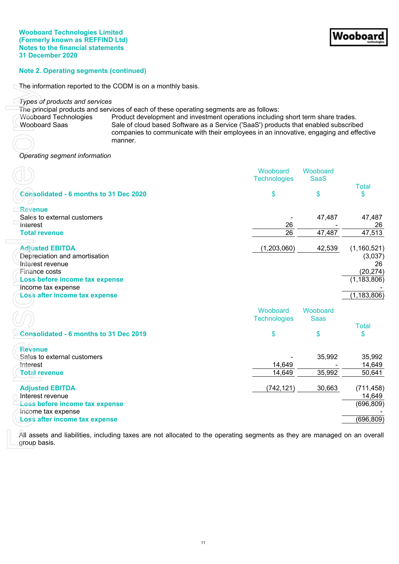## **Note 2. Operating segments (continued)**

The information reported to the CODM is on a monthly basis.

| The principal products and services of each of these operating segments are as follows:<br><b>Wooboard Technologies</b><br><b>Wooboard Saas</b> | manner. | Product development and investment operations including short term share trades.<br>Sale of cloud based Software as a Service ('SaaS') products that enabled subscribed<br>companies to communicate with their employees in an innovative, engaging and effective |                         |                              |
|-------------------------------------------------------------------------------------------------------------------------------------------------|---------|-------------------------------------------------------------------------------------------------------------------------------------------------------------------------------------------------------------------------------------------------------------------|-------------------------|------------------------------|
| Operating segment information                                                                                                                   |         |                                                                                                                                                                                                                                                                   |                         |                              |
|                                                                                                                                                 |         | Wooboard<br><b>Technologies</b>                                                                                                                                                                                                                                   | Wooboard<br><b>SaaS</b> | <b>Total</b>                 |
| <b>Consolidated - 6 months to 31 Dec 2020</b>                                                                                                   |         | \$                                                                                                                                                                                                                                                                | \$                      | \$                           |
| <b>Revenue</b><br>Sales to external customers<br><b>Interest</b>                                                                                |         | 26                                                                                                                                                                                                                                                                | 47,487                  | 47,487<br>26                 |
| <b>Total revenue</b>                                                                                                                            |         | 26                                                                                                                                                                                                                                                                | 47,487                  | 47,513                       |
| <b>Adjusted EBITDA</b><br>Depreciation and amortisation<br>Interest revenue                                                                     |         | (1,203,060)                                                                                                                                                                                                                                                       | 42,539                  | (1,160,521)<br>(3,037)<br>26 |
| Finance costs<br>Loss before income tax expense<br>Income tax expense                                                                           |         |                                                                                                                                                                                                                                                                   |                         | (20, 274)<br>(1, 183, 806)   |
| Loss after income tax expense                                                                                                                   |         |                                                                                                                                                                                                                                                                   |                         | (1, 183, 806)                |
|                                                                                                                                                 |         | Wooboard<br><b>Technologies</b>                                                                                                                                                                                                                                   | Wooboard<br><b>Saas</b> | <b>Total</b>                 |
| <b>Consolidated - 6 months to 31 Dec 2019</b>                                                                                                   |         | \$                                                                                                                                                                                                                                                                | \$                      | \$                           |
| <b>Revenue</b><br>Sales to external customers<br>Interest                                                                                       |         | 14,649                                                                                                                                                                                                                                                            | 35,992                  | 35,992<br>14,649             |
| <b>Total revenue</b>                                                                                                                            |         | 14,649                                                                                                                                                                                                                                                            | 35,992                  | 50,641                       |
| <b>Adjusted EBITDA</b><br>Interest revenue                                                                                                      |         | (742,121)                                                                                                                                                                                                                                                         | 30,663                  | (711, 458)<br>14,649         |
| Loss before income tax expense<br>Income tax expense                                                                                            |         |                                                                                                                                                                                                                                                                   |                         | (696, 809)                   |
| Loss after income tax expense                                                                                                                   |         |                                                                                                                                                                                                                                                                   |                         | (696, 809)                   |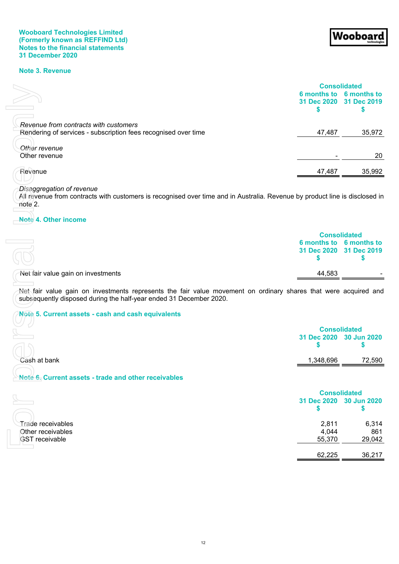## **Note 3. Revenue**

|                                                                                                                                                                                       | <b>Consolidated</b>                            |                               |
|---------------------------------------------------------------------------------------------------------------------------------------------------------------------------------------|------------------------------------------------|-------------------------------|
|                                                                                                                                                                                       | 6 months to 6 months to<br>31 Dec 2020<br>\$   | 31 Dec 2019<br>\$             |
|                                                                                                                                                                                       |                                                |                               |
| Revenue from contracts with customers<br>Rendering of services - subscription fees recognised over time                                                                               | 47,487                                         | 35,972                        |
|                                                                                                                                                                                       |                                                |                               |
| Other revenue<br>Other revenue                                                                                                                                                        |                                                | 20                            |
| Revenue                                                                                                                                                                               | 47,487                                         | 35,992                        |
| Disaggregation of revenue                                                                                                                                                             |                                                |                               |
| All revenue from contracts with customers is recognised over time and in Australia. Revenue by product line is disclosed in<br>note 2.                                                |                                                |                               |
| Note 4. Other income                                                                                                                                                                  |                                                |                               |
|                                                                                                                                                                                       | <b>Consolidated</b>                            |                               |
|                                                                                                                                                                                       |                                                | 6 months to 6 months to       |
|                                                                                                                                                                                       | \$                                             | 31 Dec 2020 31 Dec 2019<br>\$ |
|                                                                                                                                                                                       |                                                |                               |
| Net fair value gain on investments                                                                                                                                                    | 44,583                                         |                               |
| Net fair value gain on investments represents the fair value movement on ordinary shares that were acquired and<br>subsequently disposed during the half-year ended 31 December 2020. |                                                |                               |
| Note 5. Current assets - cash and cash equivalents                                                                                                                                    |                                                |                               |
|                                                                                                                                                                                       |                                                |                               |
|                                                                                                                                                                                       | <b>Consolidated</b><br>31 Dec 2020 30 Jun 2020 |                               |
|                                                                                                                                                                                       | S                                              | S                             |
| Cash at bank                                                                                                                                                                          | 1,348,696                                      | 72,590                        |
| Note 6. Current assets - trade and other receivables                                                                                                                                  |                                                |                               |
|                                                                                                                                                                                       |                                                |                               |
|                                                                                                                                                                                       | <b>Consolidated</b><br>31 Dec 2020             | 30 Jun 2020                   |
|                                                                                                                                                                                       | \$                                             | \$                            |
|                                                                                                                                                                                       |                                                |                               |
| <b>Trade receivables</b><br>Other receivables                                                                                                                                         | 2,811<br>4,044                                 | 6,314<br>861                  |
| <b>GST</b> receivable                                                                                                                                                                 | 55,370                                         | 29,042                        |

Wooboard

#### *Disaggregation of revenue*

## **Note 4. Other income**

|                                    |        | <b>Consolidated</b>     |
|------------------------------------|--------|-------------------------|
|                                    |        | 6 months to 6 months to |
|                                    |        | 31 Dec 2020 31 Dec 2019 |
| Net fair value gain on investments | 44.583 |                         |
|                                    |        |                         |

# **Note 5. Current assets - cash and cash equivalents**

|              | <b>Consolidated</b>     |        |
|--------------|-------------------------|--------|
|              | 31 Dec 2020 30 Jun 2020 |        |
| Cash at bank | 1,348,696               | 72,590 |

# **Note 6. Current assets - trade and other receivables**

|                                        |                | <b>Consolidated</b>     |  |
|----------------------------------------|----------------|-------------------------|--|
|                                        |                | 31 Dec 2020 30 Jun 2020 |  |
| Trade receivables<br>Other receivables | 2,811<br>4,044 | 6,314<br>861            |  |
| <b>GST</b> receivable                  | 55,370         | 29,042                  |  |
|                                        | 62,225         | 36,217                  |  |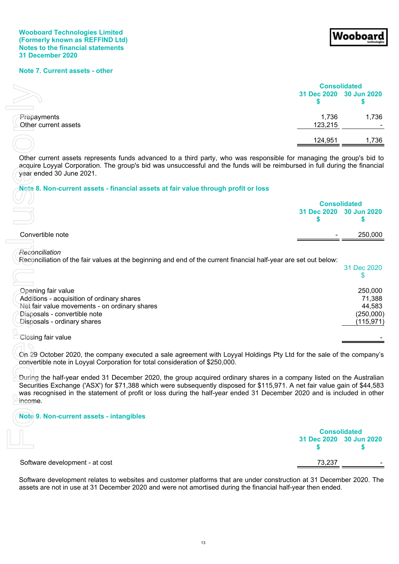## **Note 7. Current assets - other**

|                                     | <b>Consolidated</b> |                         |  |
|-------------------------------------|---------------------|-------------------------|--|
|                                     |                     | 31 Dec 2020 30 Jun 2020 |  |
| Prepayments<br>Other current assets | 1,736<br>123,215    | 1,736<br>$\sim$         |  |
|                                     | 124,951             | 1,736                   |  |

#### **Note 8. Non-current assets - financial assets at fair value through profit or loss**

|                  | <b>Consolidated</b>     |
|------------------|-------------------------|
|                  | 31 Dec 2020 30 Jun 2020 |
| Convertible note | 250,000<br>-            |
|                  |                         |

|                                                                                                                                                                                                                                                                                                                                                                                          | <b>Consolidated</b>                     |                                                        |
|------------------------------------------------------------------------------------------------------------------------------------------------------------------------------------------------------------------------------------------------------------------------------------------------------------------------------------------------------------------------------------------|-----------------------------------------|--------------------------------------------------------|
|                                                                                                                                                                                                                                                                                                                                                                                          | 31 Dec 2020<br>S                        | 30 Jun 2020<br>\$                                      |
| Prepayments<br>Other current assets                                                                                                                                                                                                                                                                                                                                                      | 1,736<br>123,215                        | 1,736                                                  |
|                                                                                                                                                                                                                                                                                                                                                                                          | 124,951                                 | 1,736                                                  |
| Other current assets represents funds advanced to a third party, who was responsible for managing the group's bid to<br>acquire Loyyal Corporation. The group's bid was unsuccessful and the funds will be reimbursed in full during the financial<br>year ended 30 June 2021.<br>Note 8. Non-current assets - financial assets at fair value through profit or loss                     |                                         |                                                        |
|                                                                                                                                                                                                                                                                                                                                                                                          |                                         |                                                        |
|                                                                                                                                                                                                                                                                                                                                                                                          | <b>Consolidated</b><br>31 Dec 2020<br>S | 30 Jun 2020<br>\$                                      |
| Convertible note                                                                                                                                                                                                                                                                                                                                                                         |                                         | 250,000                                                |
|                                                                                                                                                                                                                                                                                                                                                                                          |                                         |                                                        |
| Reconciliation<br>Reconciliation of the fair values at the beginning and end of the current financial half-year are set out below:                                                                                                                                                                                                                                                       |                                         | 31 Dec 2020<br>\$                                      |
| Opening fair value<br>Additions - acquisition of ordinary shares<br>Net fair value movements - on ordinary shares<br>Disposals - convertible note<br>Disposals - ordinary shares                                                                                                                                                                                                         |                                         | 250,000<br>71,388<br>44,583<br>(250,000)<br>(115, 971) |
| Closing fair value                                                                                                                                                                                                                                                                                                                                                                       |                                         |                                                        |
| On 29 October 2020, the company executed a sale agreement with Loyyal Holdings Pty Ltd for the sale of the company's<br>convertible note in Loyyal Corporation for total consideration of \$250,000.                                                                                                                                                                                     |                                         |                                                        |
| During the half-year ended 31 December 2020, the group acquired ordinary shares in a company listed on the Australian<br>Securities Exchange ('ASX') for \$71,388 which were subsequently disposed for \$115,971. A net fair value gain of \$44,583<br>was recognised in the statement of profit or loss during the half-year ended 31 December 2020 and is included in other<br>income. |                                         |                                                        |
| Note 9. Non-current assets - intangibles                                                                                                                                                                                                                                                                                                                                                 |                                         |                                                        |
|                                                                                                                                                                                                                                                                                                                                                                                          |                                         |                                                        |
|                                                                                                                                                                                                                                                                                                                                                                                          | <b>Consolidated</b><br>31 Dec 2020<br>S | <b>30 Jun 2020</b><br>5                                |
| Software development - at cost                                                                                                                                                                                                                                                                                                                                                           | 73,237                                  |                                                        |
| Software development relates to websites and customer platforms that are under construction at 31 December 2020. The<br>assets are not in use at 31 December 2020 and were not amortised during the financial half-year then ended.                                                                                                                                                      |                                         |                                                        |

## **Note 9. Non-current assets - intangibles**

|                                | <b>Consolidated</b>     |        |  |
|--------------------------------|-------------------------|--------|--|
|                                | 31 Dec 2020 30 Jun 2020 |        |  |
| Software development - at cost | 73,237                  | $\sim$ |  |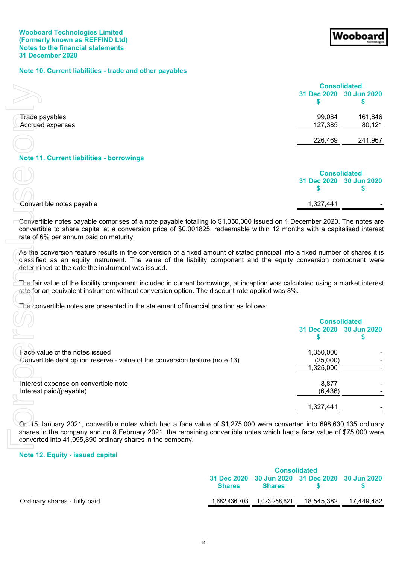### **Note 10. Current liabilities - trade and other payables**

|                                                  |                   | <b>Consolidated</b>     |
|--------------------------------------------------|-------------------|-------------------------|
|                                                  |                   | 31 Dec 2020 30 Jun 2020 |
| Trade payables<br>Accrued expenses               | 99,084<br>127,385 | 161,846<br>80,121       |
|                                                  | 226,469           | 241,967                 |
| <b>Note 11. Current liabilities - borrowings</b> |                   |                         |

Wooboar

|                           | <b>Consolidated</b> |                         |  |
|---------------------------|---------------------|-------------------------|--|
|                           |                     | 31 Dec 2020 30 Jun 2020 |  |
|                           |                     |                         |  |
| Convertible notes payable | 1,327,441           | -                       |  |

|                                                                                                                                                                                                                                                                                                            |               |               | <b>Consolidated</b> |                                                      |
|------------------------------------------------------------------------------------------------------------------------------------------------------------------------------------------------------------------------------------------------------------------------------------------------------------|---------------|---------------|---------------------|------------------------------------------------------|
|                                                                                                                                                                                                                                                                                                            |               |               | 31 Dec 2020<br>S    | 30 Jun 2020<br>\$                                    |
| Trade payables<br><b>Accrued expenses</b>                                                                                                                                                                                                                                                                  |               |               | 99,084<br>127,385   | 161,846<br>80,121                                    |
|                                                                                                                                                                                                                                                                                                            |               |               | 226,469             | 241,967                                              |
| Note 11. Current liabilities - borrowings                                                                                                                                                                                                                                                                  |               |               |                     |                                                      |
|                                                                                                                                                                                                                                                                                                            |               |               |                     |                                                      |
|                                                                                                                                                                                                                                                                                                            |               |               | S                   | <b>Consolidated</b><br>31 Dec 2020 30 Jun 2020<br>\$ |
| Convertible notes payable                                                                                                                                                                                                                                                                                  |               |               | 1,327,441           |                                                      |
|                                                                                                                                                                                                                                                                                                            |               |               |                     |                                                      |
| Convertible notes payable comprises of a note payable totalling to \$1,350,000 issued on 1 December 2020. The notes are<br>convertible to share capital at a conversion price of \$0.001825, redeemable within 12 months with a capitalised interest<br>rate of 6% per annum paid on maturity.             |               |               |                     |                                                      |
| As the conversion feature results in the conversion of a fixed amount of stated principal into a fixed number of shares it is<br>classified as an equity instrument. The value of the liability component and the equity conversion component were<br>determined at the date the instrument was issued.    |               |               |                     |                                                      |
| The fair value of the liability component, included in current borrowings, at inception was calculated using a market interest<br>rate for an equivalent instrument without conversion option. The discount rate applied was 8%.                                                                           |               |               |                     |                                                      |
| The convertible notes are presented in the statement of financial position as follows:                                                                                                                                                                                                                     |               |               |                     |                                                      |
|                                                                                                                                                                                                                                                                                                            |               |               |                     | <b>Consolidated</b>                                  |
|                                                                                                                                                                                                                                                                                                            |               |               | 31 Dec 2020         | 30 Jun 2020                                          |
|                                                                                                                                                                                                                                                                                                            |               |               | S                   | S                                                    |
|                                                                                                                                                                                                                                                                                                            |               |               |                     |                                                      |
| Face value of the notes issued                                                                                                                                                                                                                                                                             |               |               | 1,350,000           |                                                      |
| Convertible debt option reserve - value of the conversion feature (note 13)                                                                                                                                                                                                                                |               |               | (25,000)            |                                                      |
|                                                                                                                                                                                                                                                                                                            |               |               | 1,325,000           |                                                      |
|                                                                                                                                                                                                                                                                                                            |               |               |                     |                                                      |
| Interest expense on convertible note                                                                                                                                                                                                                                                                       |               |               | 8,877               |                                                      |
| Interest paid/(payable)                                                                                                                                                                                                                                                                                    |               |               | (6, 436)            |                                                      |
|                                                                                                                                                                                                                                                                                                            |               |               | 1,327,441           |                                                      |
| On 15 January 2021, convertible notes which had a face value of \$1,275,000 were converted into 698,630,135 ordinary<br>shares in the company and on 8 February 2021, the remaining convertible notes which had a face value of \$75,000 were<br>converted into 41,095,890 ordinary shares in the company. |               |               |                     |                                                      |
| Note 12. Equity - issued capital                                                                                                                                                                                                                                                                           |               |               |                     |                                                      |
|                                                                                                                                                                                                                                                                                                            |               |               | <b>Consolidated</b> |                                                      |
|                                                                                                                                                                                                                                                                                                            | 31 Dec 2020   | 30 Jun 2020   | 31 Dec 2020         | 30 Jun 2020                                          |
|                                                                                                                                                                                                                                                                                                            | <b>Shares</b> | <b>Shares</b> | \$                  | \$                                                   |

## **Note 12. Equity - issued capital**

|                              | <b>Consolidated</b> |               |                                                 |            |
|------------------------------|---------------------|---------------|-------------------------------------------------|------------|
|                              | <b>Shares</b>       | <b>Shares</b> | 31 Dec 2020 30 Jun 2020 31 Dec 2020 30 Jun 2020 |            |
| Ordinary shares - fully paid | 1,682,436,703       | 1.023.258.621 | 18.545.382                                      | 17.449.482 |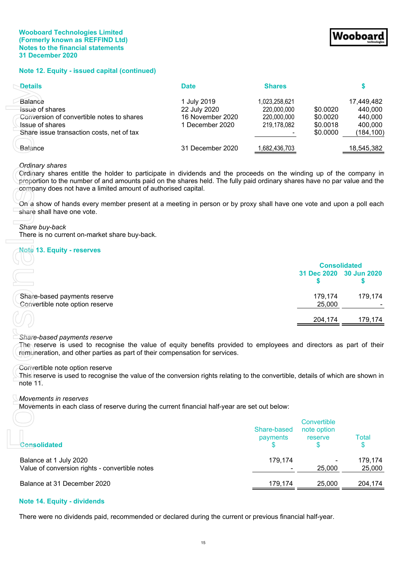## **Note 12. Equity - issued capital (continued)**

| <b>Details</b>                                                      | <b>Date</b>                      | <b>Shares</b>              |                      |                    |
|---------------------------------------------------------------------|----------------------------------|----------------------------|----------------------|--------------------|
| Balance                                                             | 1 July 2019                      | 1,023,258,621              |                      | 17,449,482         |
| <b>Issue of shares</b><br>Conversion of convertible notes to shares | 22 July 2020<br>16 November 2020 | 220,000,000<br>220,000,000 | \$0.0020<br>\$0.0020 | 440,000<br>440,000 |
| <b>Jssue of shares</b>                                              | 1 December 2020                  | 219,178,082                | \$0.0018             | 400,000            |
| Share issue transaction costs, net of tax                           |                                  |                            | \$0,0000             | (184, 100)         |
| Balance                                                             | 31 December 2020                 | 682,436,703                |                      | 18,545,382         |

## *Ordinary shares*

#### *Share buy-back*

#### **Note 13. Equity - reserves**

|                                                                 |                         | <b>Consolidated</b> |  |  |
|-----------------------------------------------------------------|-------------------------|---------------------|--|--|
|                                                                 | 31 Dec 2020 30 Jun 2020 |                     |  |  |
| Share-based payments reserve<br>Convertible note option reserve | 179,174<br>25,000       | 179,174             |  |  |
|                                                                 | 204,174                 | 179.174             |  |  |

#### *Share-based payments reserve*

#### Convertible note option reserve

## *Movements in reserves*

| Details                                                                                                                                                                                                                                                                                                                                                                                                                                                                                          | Date                                                               | <b>Shares</b>                                              |                                              | \$                                                        |
|--------------------------------------------------------------------------------------------------------------------------------------------------------------------------------------------------------------------------------------------------------------------------------------------------------------------------------------------------------------------------------------------------------------------------------------------------------------------------------------------------|--------------------------------------------------------------------|------------------------------------------------------------|----------------------------------------------|-----------------------------------------------------------|
| <b>Balance</b><br><del>Issue</del> of shares<br>Conversion of convertible notes to shares<br><b>Issue of shares</b><br>Share issue transaction costs, net of tax                                                                                                                                                                                                                                                                                                                                 | 1 July 2019<br>22 July 2020<br>16 November 2020<br>1 December 2020 | 1,023,258,621<br>220,000,000<br>220,000,000<br>219,178,082 | \$0.0020<br>\$0.0020<br>\$0.0018<br>\$0.0000 | 17,449,482<br>440,000<br>440,000<br>400,000<br>(184, 100) |
| Balance                                                                                                                                                                                                                                                                                                                                                                                                                                                                                          | 31 December 2020                                                   | 1,682,436,703                                              |                                              | 18,545,382                                                |
| <b>Ordinary shares</b><br>Ordinary shares entitle the holder to participate in dividends and the proceeds on the winding up of the company in<br>proportion to the number of and amounts paid on the shares held. The fully paid ordinary shares have no par value and the<br>company does not have a limited amount of authorised capital.<br>On a show of hands every member present at a meeting in person or by proxy shall have one vote and upon a poll each<br>share shall have one vote. |                                                                    |                                                            |                                              |                                                           |
| Share buy-back<br>There is no current on-market share buy-back.                                                                                                                                                                                                                                                                                                                                                                                                                                  |                                                                    |                                                            |                                              |                                                           |
| <b>Note 13. Equity - reserves</b>                                                                                                                                                                                                                                                                                                                                                                                                                                                                |                                                                    |                                                            | <b>Consolidated</b><br>31 Dec 2020<br>S      | 30 Jun 2020<br>S                                          |
| Share-based payments reserve<br>Convertible note option reserve                                                                                                                                                                                                                                                                                                                                                                                                                                  |                                                                    |                                                            | 179,174<br>25,000                            | 179,174                                                   |
|                                                                                                                                                                                                                                                                                                                                                                                                                                                                                                  |                                                                    |                                                            | 204,174                                      | 179,174                                                   |
| Share-based payments reserve<br>The reserve is used to recognise the value of equity benefits provided to employees and directors as part of their<br>remuneration, and other parties as part of their compensation for services.<br>Convertible note option reserve<br>This reserve is used to recognise the value of the conversion rights relating to the convertible, details of which are shown in<br>note 11.                                                                              |                                                                    |                                                            |                                              |                                                           |
| Movements in reserves<br>Movements in each class of reserve during the current financial half-year are set out below:                                                                                                                                                                                                                                                                                                                                                                            |                                                                    |                                                            |                                              |                                                           |
| <b>Consolidated</b>                                                                                                                                                                                                                                                                                                                                                                                                                                                                              |                                                                    | Share-based<br>payments<br>\$                              | Convertible<br>note option<br>reserve<br>\$  | <b>Total</b><br>\$                                        |
| Balance at 1 July 2020<br>Value of conversion rights - convertible notes                                                                                                                                                                                                                                                                                                                                                                                                                         |                                                                    | 179,174                                                    | 25,000                                       | 179,174<br>25,000                                         |
| Balance at 31 December 2020                                                                                                                                                                                                                                                                                                                                                                                                                                                                      |                                                                    | 179,174                                                    | 25,000                                       | 204,174                                                   |
| Note 14. Equity - dividends                                                                                                                                                                                                                                                                                                                                                                                                                                                                      |                                                                    |                                                            |                                              |                                                           |
| There were no dividends paid, recommended or declared during the current or previous financial half-year.                                                                                                                                                                                                                                                                                                                                                                                        |                                                                    |                                                            |                                              |                                                           |

## **Note 14. Equity - dividends**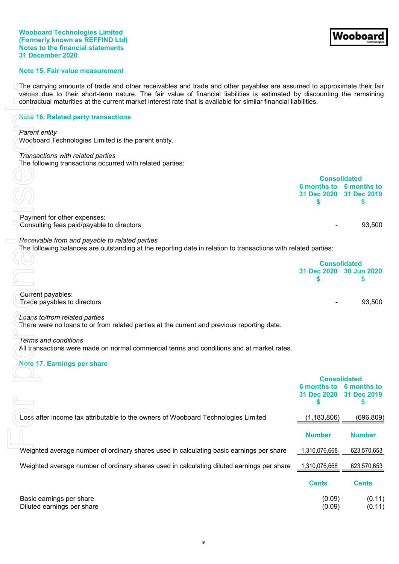#### **Wooboard Technologies Limited (Formerly known as REFFIND Ltd) Notes to the financial statements 31 December 2020**

## **Note 15. Fair value measurement**

The carrying amounts of trade and other receivables and trade and other payables are assumed to approximate their fair values due to their short-term nature. The fair value of financial liabilities is estimated by discounting the remaining contractual maturities at the current market interest rate that is available for similar financial liabilities.

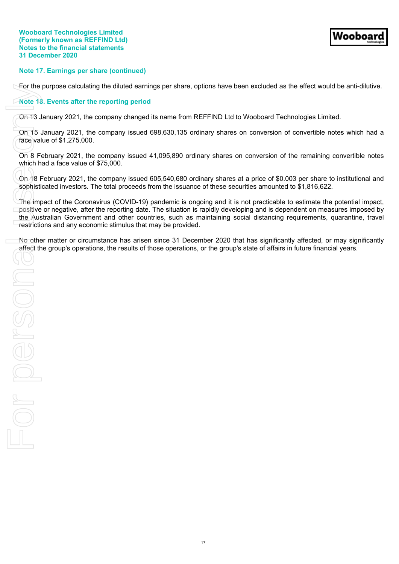## **Note 17. Earnings per share (continued)**

For the purpose calculating the diluted earnings per share, options have been excluded as the effect would be anti-dilutive.

## **Note 18. Events after the reporting period**

On 13 January 2021, the company changed its name from REFFIND Ltd to Wooboard Technologies Limited.

On 15 January 2021, the company issued 698,630,135 ordinary shares on conversion of convertible notes which had a face value of \$1,275,000.

On 8 February 2021, the company issued 41,095,890 ordinary shares on conversion of the remaining convertible notes which had a face value of \$75,000.

On 18 February 2021, the company issued 605,540,680 ordinary shares at a price of \$0.003 per share to institutional and sophisticated investors. The total proceeds from the issuance of these securities amounted to \$1,816,622.

The impact of the Coronavirus (COVID-19) pandemic is ongoing and it is not practicable to estimate the potential impact, positive or negative, after the reporting date. The situation is rapidly developing and is dependent on measures imposed by the Australian Government and other countries, such as maintaining social distancing requirements, quarantine, travel restrictions and any economic stimulus that may be provided. For the group's operations, the results of those operations, the group's state of affairs in future and the results of the results of the results of the results of the results of the results of the results of the results o

No other matter or circumstance has arisen since 31 December 2020 that has significantly affected, or may significantly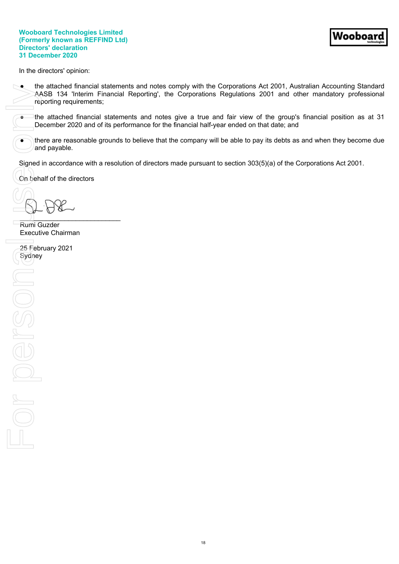## **Wooboard Technologies Limited (Formerly known as REFFIND Ltd) Directors' declaration 31 December 2020**

<span id="page-20-0"></span>In the directors' opinion:

- the attached financial statements and notes comply with the Corporations Act 2001, Australian Accounting Standard AASB 134 'Interim Financial Reporting', the Corporations Regulations 2001 and other mandatory professional reporting requirements;
- the attached financial statements and notes give a true and fair view of the group's financial position as at 31 December 2020 and of its performance for the financial half-year ended on that date; and
- there are reasonable grounds to believe that the company will be able to pay its debts as and when they become due and payable.

Signed in accordance with a resolution of directors made pursuant to section 303(5)(a) of the Corporations Act 2001.

On behalf of the directors

 $\cup$ 

Rumi Guzder Executive Chairman

Signed<br>
Signed<br>
Signed<br>
Signed<br>
Signed<br>
Signed<br>
Signed<br>
Signed<br>
Signed<br>
Signed<br>
Signed<br>
Signed<br>
Signed<br>
Signed<br>
Signed<br>
Signed<br>
Signed<br>
Signed<br>
Signed<br>
Signed<br>
Signed<br>
Signed<br>
Signed<br>
Signed<br>
Signed<br>
Signed<br>
Signed<br>
Signed 25 February 2021 Sydney For person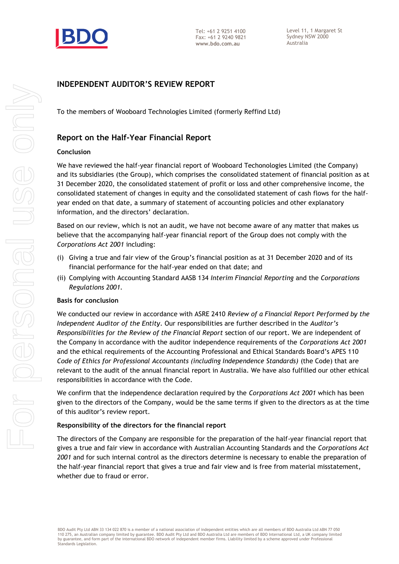

# **INDEPENDENT AUDITOR'S REVIEW REPORT**

To the members of Wooboard Technologies Limited (formerly Reffind Ltd)

# **Report on the Half-Year Financial Report**

## **Conclusion**

We have reviewed the half-year financial report of Wooboard Techonologies Limited (the Company) and its subsidiaries (the Group), which comprises the consolidated statement of financial position as at 31 December 2020, the consolidated statement of profit or loss and other comprehensive income, the consolidated statement of changes in equity and the consolidated statement of cash flows for the halfyear ended on that date, a summary of statement of accounting policies and other explanatory information, and the directors' declaration.

Based on our review, which is not an audit, we have not become aware of any matter that makes us believe that the accompanying half-year financial report of the Group does not comply with the *Corporations Act 2001* including:

- (i) Giving a true and fair view of the Group's financial position as at 31 December 2020 and of its financial performance for the half-year ended on that date; and
- (ii) Complying with Accounting Standard AASB 134 *Interim Financial Reporting* and the *Corporations Regulations 2001.*

## **Basis for conclusion**

We conducted our review in accordance with ASRE 2410 *Review of a Financial Report Performed by the Independent Auditor of the Entity*. Our responsibilities are further described in the *Auditor's Responsibilities for the Review of the Financial Report* section of our report. We are independent of the Company in accordance with the auditor independence requirements of the *Corporations Act 2001* and the ethical requirements of the Accounting Professional and Ethical Standards Board's APES 110 *Code of Ethics for Professional Accountants (including Independence Standards)* (the Code) that are relevant to the audit of the annual financial report in Australia. We have also fulfilled our other ethical responsibilities in accordance with the Code.

We confirm that the independence declaration required by the *Corporations Act 2001* which has been given to the directors of the Company, would be the same terms if given to the directors as at the time of this auditor's review report.

## **Responsibility of the directors for the financial report**

The directors of the Company are responsible for the preparation of the half-year financial report that gives a true and fair view in accordance with Australian Accounting Standards and the *Corporations Act 2001* and for such internal control as the directors determine is necessary to enable the preparation of the half-year financial report that gives a true and fair view and is free from material misstatement, whether due to fraud or error.

BDO Audit Pty Ltd ABN 33 134 022 870 is a member of a national association of independent entities which are all members of BDO Australia Ltd ABN 77 050<br>110 275, an Australian company limited by guarantee. BDO Audit Pty Lt by guarantee, and form part of the international BDO network of independent member firms. Liability limited by a scheme approved under Professional Standards Legislation.